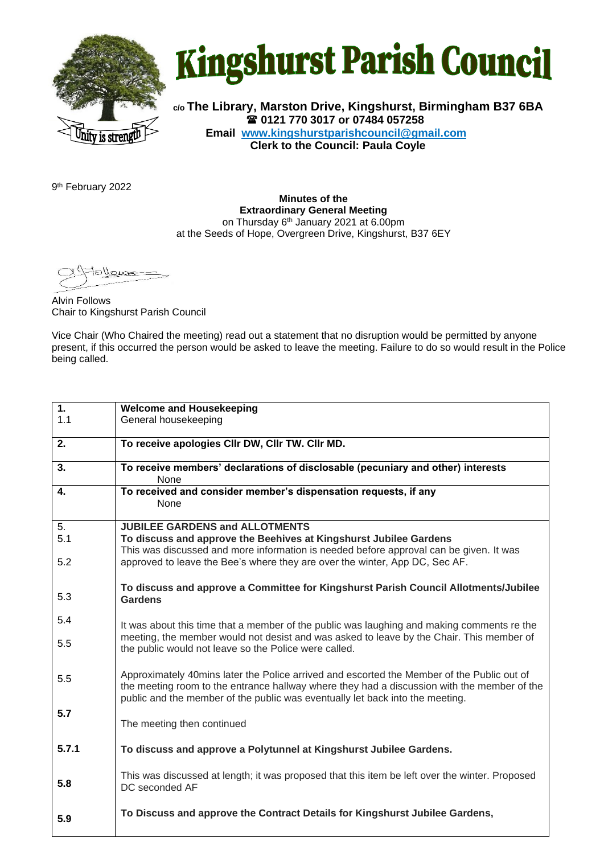

## **Kingshurst Parish Council**

**c/o The Library, Marston Drive, Kingshurst, Birmingham B37 6BA 0121 770 3017 or 07484 057258 Email www.kingshurstparishcouncil@gmail.com Clerk to the Council: Paula Coyle**

9 th February 2022

**Minutes of the Extraordinary General Meeting** on Thursday 6<sup>th</sup> January 2021 at 6.00pm at the Seeds of Hope, Overgreen Drive, Kingshurst, B37 6EY

e <u>الوسع</u>

Alvin Follows Chair to Kingshurst Parish Council

Vice Chair (Who Chaired the meeting) read out a statement that no disruption would be permitted by anyone present, if this occurred the person would be asked to leave the meeting. Failure to do so would result in the Police being called.

| 1.    | <b>Welcome and Housekeeping</b>                                                                                                                                                                                                                                            |
|-------|----------------------------------------------------------------------------------------------------------------------------------------------------------------------------------------------------------------------------------------------------------------------------|
| 1.1   | General housekeeping                                                                                                                                                                                                                                                       |
|       |                                                                                                                                                                                                                                                                            |
| 2.    | To receive apologies CIIr DW, CIIr TW. CIIr MD.                                                                                                                                                                                                                            |
| 3.    | To receive members' declarations of disclosable (pecuniary and other) interests<br>None                                                                                                                                                                                    |
| 4.    | To received and consider member's dispensation requests, if any<br>None                                                                                                                                                                                                    |
| 5.    | <b>JUBILEE GARDENS and ALLOTMENTS</b>                                                                                                                                                                                                                                      |
| 5.1   | To discuss and approve the Beehives at Kingshurst Jubilee Gardens                                                                                                                                                                                                          |
| 5.2   | This was discussed and more information is needed before approval can be given. It was<br>approved to leave the Bee's where they are over the winter, App DC, Sec AF.                                                                                                      |
|       | To discuss and approve a Committee for Kingshurst Parish Council Allotments/Jubilee                                                                                                                                                                                        |
| 5.3   | Gardens                                                                                                                                                                                                                                                                    |
|       |                                                                                                                                                                                                                                                                            |
| 5.4   | It was about this time that a member of the public was laughing and making comments re the                                                                                                                                                                                 |
| 5.5   | meeting, the member would not desist and was asked to leave by the Chair. This member of<br>the public would not leave so the Police were called.                                                                                                                          |
|       |                                                                                                                                                                                                                                                                            |
| 5.5   | Approximately 40mins later the Police arrived and escorted the Member of the Public out of<br>the meeting room to the entrance hallway where they had a discussion with the member of the<br>public and the member of the public was eventually let back into the meeting. |
| 5.7   |                                                                                                                                                                                                                                                                            |
|       | The meeting then continued                                                                                                                                                                                                                                                 |
|       |                                                                                                                                                                                                                                                                            |
| 5.7.1 | To discuss and approve a Polytunnel at Kingshurst Jubilee Gardens.                                                                                                                                                                                                         |
| 5.8   | This was discussed at length; it was proposed that this item be left over the winter. Proposed<br>DC seconded AF                                                                                                                                                           |
| 5.9   | To Discuss and approve the Contract Details for Kingshurst Jubilee Gardens,                                                                                                                                                                                                |